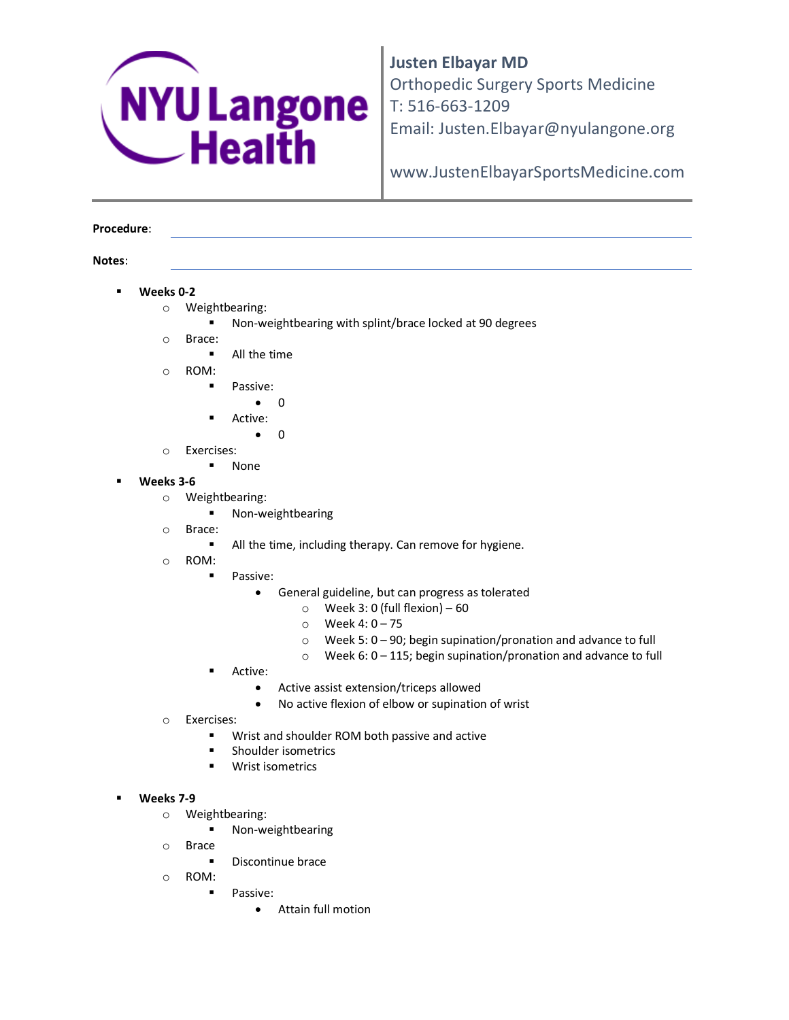

**Justen Elbayar MD**  Orthopedic Surgery Sports Medicine T: 516-663-1209 Email: Justen.Elbayar@nyulangone.org

www.JustenElbayarSportsMedicine.com

## **Procedure**:

## **Notes**:

- **Weeks 0-2**
	- o Weightbearing:
		- Non-weightbearing with splint/brace locked at 90 degrees
	- o Brace:
		- **All the time**
	- o ROM:
		- **Passive:** 
			- $\bullet$  0
			- Active:
				- $\bullet$  0
	- o Exercises:
		- None
- **Weeks 3-6**
	- o Weightbearing:
		- **Non-weightbearing**
	- o Brace:
		- All the time, including therapy. Can remove for hygiene.
	- o ROM:
		- **Passive:** 
			- General guideline, but can progress as tolerated
				- $\circ$  Week 3: 0 (full flexion) 60
				- o Week 4: 0 75
				- o Week 5: 0 90; begin supination/pronation and advance to full
				- $\circ$  Week 6: 0 115; begin supination/pronation and advance to full
		- Active:
			- Active assist extension/triceps allowed
			- No active flexion of elbow or supination of wrist
	- o Exercises:
		- **Wrist and shoulder ROM both passive and active**
		- **EXECUTE:** Shoulder isometrics
		- **Wrist isometrics**
- **Weeks 7-9**
	- o Weightbearing:
		- **Non-weightbearing**
	- o Brace
		- **Discontinue brace**
	- o ROM:
		- **Passive:** 
			- Attain full motion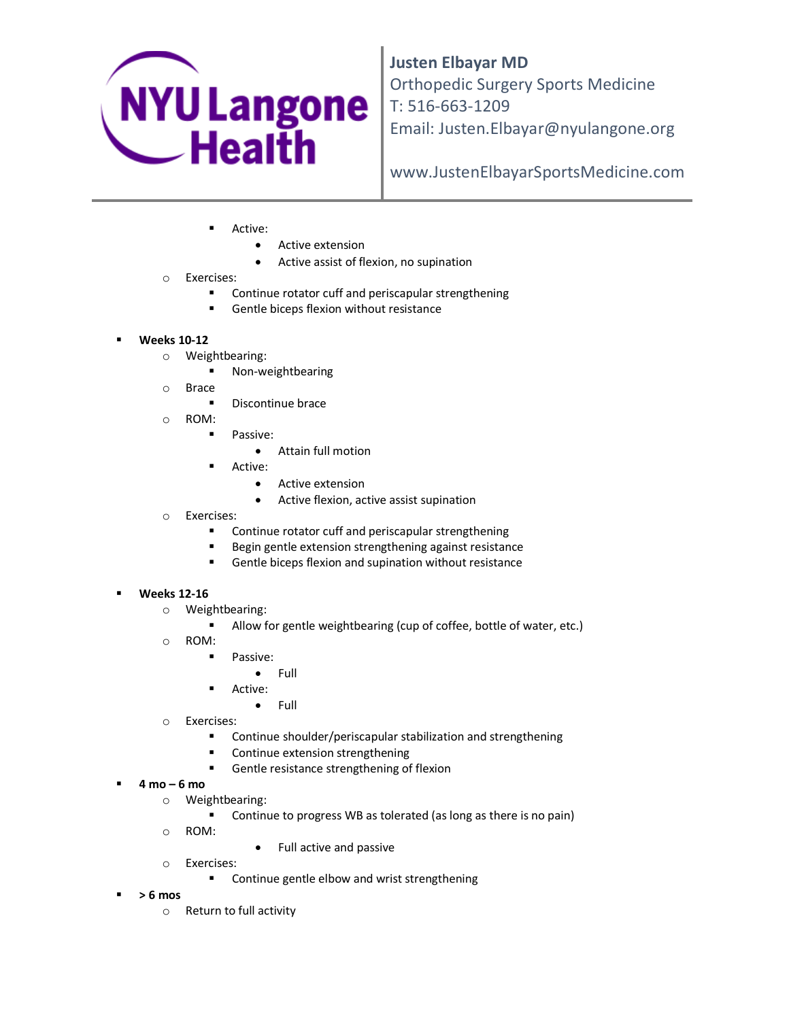

**Justen Elbayar MD**  Orthopedic Surgery Sports Medicine T: 516-663-1209 Email: Justen.Elbayar@nyulangone.org

www.JustenElbayarSportsMedicine.com

- Active:
	- Active extension
	- Active assist of flexion, no supination
- o Exercises:
	- **EXECONTINUM** Continue rotator cuff and periscapular strengthening
	- Gentle biceps flexion without resistance
- **Weeks 10-12**
	- o Weightbearing:
		- **Non-weightbearing**
	- o Brace
		- **Discontinue brace**
	- o ROM:
		- **Passive:** 
			- Attain full motion
		- Active:
			- Active extension
			- Active flexion, active assist supination
	- o Exercises:
		- **EXECONTINUM** Continue rotator cuff and periscapular strengthening
		- Begin gentle extension strengthening against resistance
		- Gentle biceps flexion and supination without resistance

## **Weeks 12-16**

- o Weightbearing:
	- Allow for gentle weightbearing (cup of coffee, bottle of water, etc.)
- o ROM:
	- **Passive:** 
		- Full
		- Active:
			- Full
- o Exercises:
	- Continue shoulder/periscapular stabilization and strengthening
	- **EXECONTINUE EXTENSION STEEN STATE**
	- **Gentle resistance strengthening of flexion**
- **4 mo – 6 mo** 
	- o Weightbearing:
		- Continue to progress WB as tolerated (as long as there is no pain)
	- o ROM:
- Full active and passive
- o Exercises:
	- **EXECONTIFY CONTINUE GENET** Continue gentle elbow and wrist strengthening
- **> 6 mos**
	- o Return to full activity